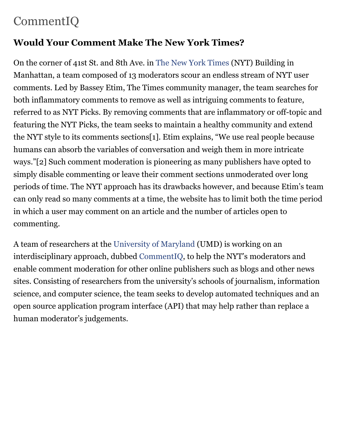## CommentIQ

## **Would Your Comment Make The New York Times?**

On the corner of 41st St. and 8th Ave. in [The New York Times](http://www.nytimes.com/) (NYT) Building in Manhattan, a team composed of 13 moderators scour an endless stream of NYT user comments. Led by Bassey Etim, The Times community manager, the team searches for both inflammatory comments to remove as well as intriguing comments to feature, referred to as NYT Picks. By removing comments that are inflammatory or off-topic and featuring the NYT Picks, the team seeks to maintain a healthy community and extend the NYT style to its comments sections[1]. Etim explains, "We use real people because humans can absorb the variables of conversation and weigh them in more intricate ways."[2] Such comment moderation is pioneering as many publishers have opted to simply disable commenting or leave their comment sections unmoderated over long periods of time. The NYT approach has its drawbacks however, and because Etim's team can only read so many comments at a time, the website has to limit both the time period in which a user may comment on an article and the number of articles open to commenting.

A team of researchers at the [University of Maryland](http://www.umd.edu/) (UMD) is working on an interdisciplinary approach, dubbed [CommentIQ,](http://www.nickdiakopoulos.com/commentiq/) to help the NYT's moderators and enable comment moderation for other online publishers such as blogs and other news sites. Consisting of researchers from the university's schools of journalism, information science, and computer science, the team seeks to develop automated techniques and an open source application program interface (API) that may help rather than replace a human moderator's judgements.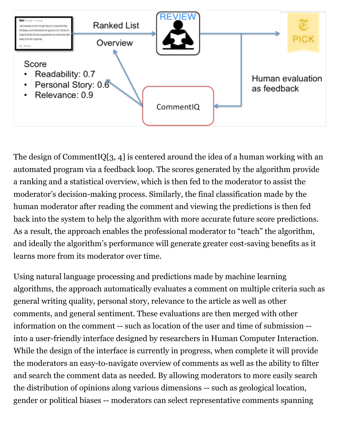

The design of CommentIQ[3, 4] is centered around the idea of a human working with an automated program via a feedback loop. The scores generated by the algorithm provide a ranking and a statistical overview, which is then fed to the moderator to assist the moderator's decision-making process. Similarly, the final classification made by the human moderator after reading the comment and viewing the predictions is then fed back into the system to help the algorithm with more accurate future score predictions. As a result, the approach enables the professional moderator to "teach" the algorithm, and ideally the algorithm's performance will generate greater cost-saving benefits as it learns more from its moderator over time.

Using natural language processing and predictions made by machine learning algorithms, the approach automatically evaluates a comment on multiple criteria such as general writing quality, personal story, relevance to the article as well as other comments, and general sentiment. These evaluations are then merged with other information on the comment -- such as location of the user and time of submission - into a user-friendly interface designed by researchers in Human Computer Interaction. While the design of the interface is currently in progress, when complete it will provide the moderators an easy-to-navigate overview of comments as well as the ability to filter and search the comment data as needed. By allowing moderators to more easily search the distribution of opinions along various dimensions -- such as geological location, gender or political biases -- moderators can select representative comments spanning